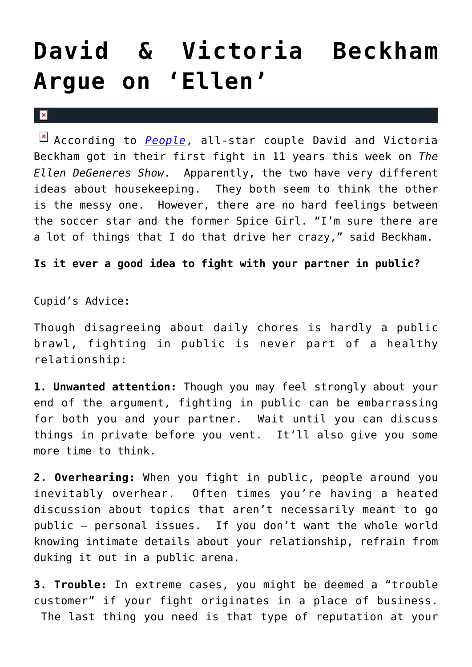## **[David & Victoria Beckham](https://cupidspulse.com/5805/david-victoria-beckham-argu-on-ellen/) [Argue on 'Ellen'](https://cupidspulse.com/5805/david-victoria-beckham-argu-on-ellen/)**

 $\vert \mathbf{x} \vert$ 

According to *[People](http://www.people.com/people/article/0,,20437167,00.html)*, all-star couple David and Victoria Beckham got in their first fight in 11 years this week on *The Ellen DeGeneres Show*. Apparently, the two have very different ideas about housekeeping. They both seem to think the other is the messy one. However, there are no hard feelings between the soccer star and the former Spice Girl. "I'm sure there are a lot of things that I do that drive her crazy," said Beckham.

**Is it ever a good idea to fight with your partner in public?**

Cupid's Advice:

Though disagreeing about daily chores is hardly a public brawl, fighting in public is never part of a healthy relationship:

**1. Unwanted attention:** Though you may feel strongly about your end of the argument, fighting in public can be embarrassing for both you and your partner. Wait until you can discuss things in private before you vent. It'll also give you some more time to think.

**2. Overhearing:** When you fight in public, people around you inevitably overhear. Often times you're having a heated discussion about topics that aren't necessarily meant to go public — personal issues. If you don't want the whole world knowing intimate details about your relationship, refrain from duking it out in a public arena.

**3. Trouble:** In extreme cases, you might be deemed a "trouble customer" if your fight originates in a place of business. The last thing you need is that type of reputation at your